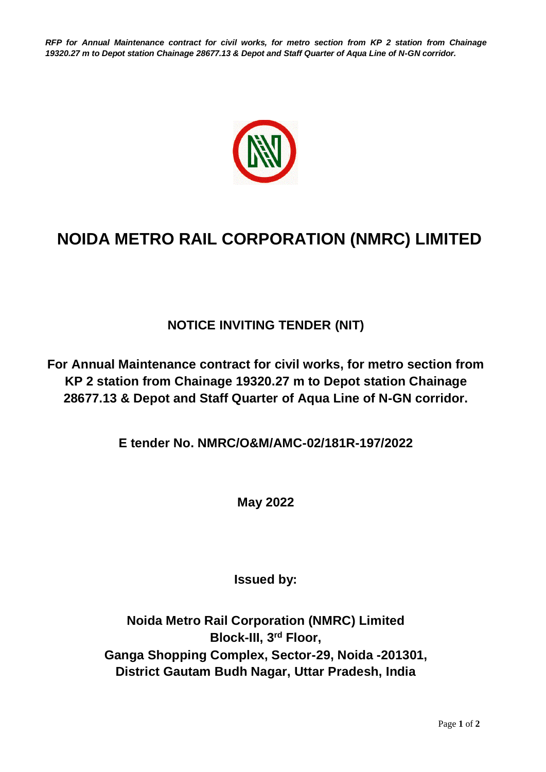*RFP for Annual Maintenance contract for civil works, for metro section from KP 2 station from Chainage 19320.27 m to Depot station Chainage 28677.13 & Depot and Staff Quarter of Aqua Line of N-GN corridor.*



## **NOIDA METRO RAIL CORPORATION (NMRC) LIMITED**

## **NOTICE INVITING TENDER (NIT)**

**For Annual Maintenance contract for civil works, for metro section from KP 2 station from Chainage 19320.27 m to Depot station Chainage 28677.13 & Depot and Staff Quarter of Aqua Line of N-GN corridor.**

**E tender No. NMRC/O&M/AMC-02/181R-197/2022**

**May 2022**

**Issued by:**

**Noida Metro Rail Corporation (NMRC) Limited Block-III, 3rd Floor, Ganga Shopping Complex, Sector-29, Noida -201301, District Gautam Budh Nagar, Uttar Pradesh, India**